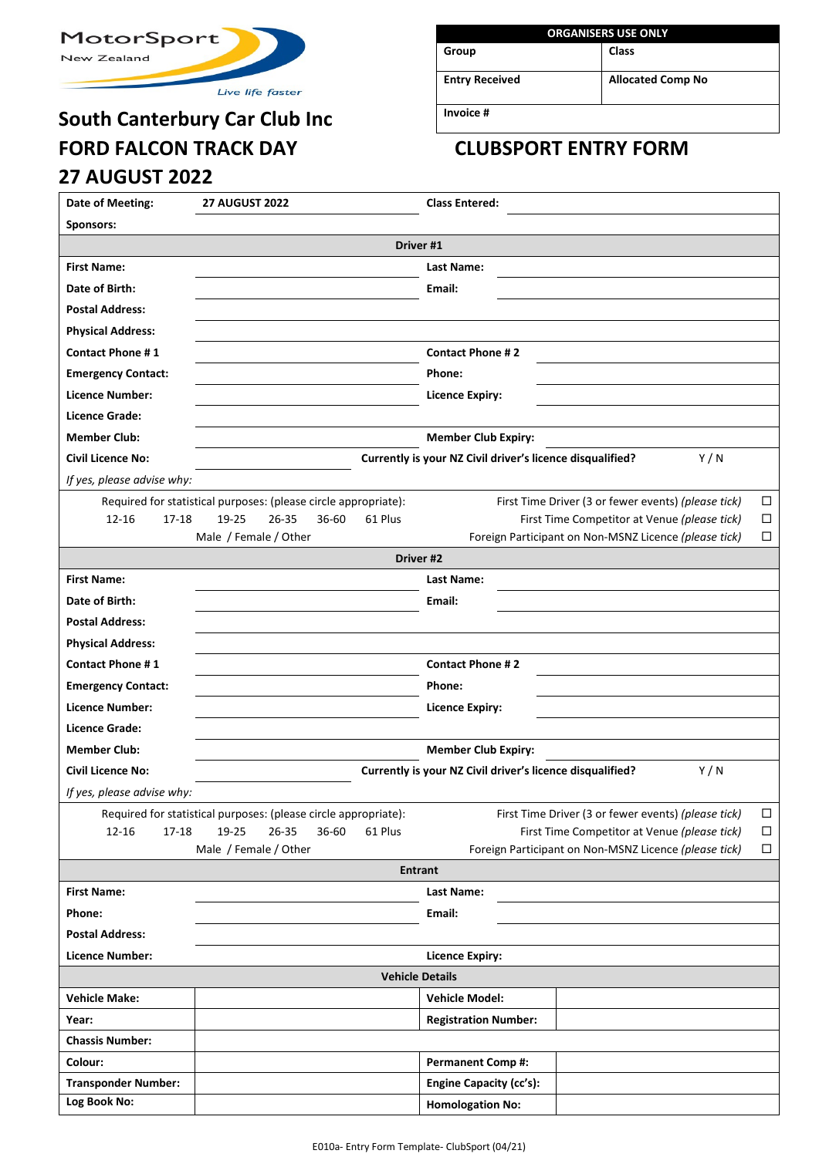

Live life faster

# **South Canterbury Car Club Inc FORD FALCON TRACK DAY CLUBSPORT ENTRY FORM 27 AUGUST 2022**

| <b>ORGANISERS USE ONLY</b> |                          |  |  |  |  |  |  |
|----------------------------|--------------------------|--|--|--|--|--|--|
| Group                      | Class                    |  |  |  |  |  |  |
| <b>Entry Received</b>      | <b>Allocated Comp No</b> |  |  |  |  |  |  |
| Invoice #                  |                          |  |  |  |  |  |  |

| Date of Meeting:           | <b>27 AUGUST 2022</b>                                           |                  | <b>Class Entered:</b>                                     |                                                                  |        |
|----------------------------|-----------------------------------------------------------------|------------------|-----------------------------------------------------------|------------------------------------------------------------------|--------|
| Sponsors:                  |                                                                 |                  |                                                           |                                                                  |        |
|                            |                                                                 |                  | Driver #1                                                 |                                                                  |        |
| <b>First Name:</b>         |                                                                 |                  | Last Name:                                                |                                                                  |        |
| Date of Birth:             |                                                                 |                  | Email:                                                    |                                                                  |        |
|                            |                                                                 |                  |                                                           |                                                                  |        |
| <b>Postal Address:</b>     |                                                                 |                  |                                                           |                                                                  |        |
| <b>Physical Address:</b>   |                                                                 |                  |                                                           |                                                                  |        |
| <b>Contact Phone #1</b>    |                                                                 |                  | <b>Contact Phone #2</b>                                   |                                                                  |        |
| <b>Emergency Contact:</b>  |                                                                 |                  | Phone:                                                    |                                                                  |        |
| Licence Number:            |                                                                 |                  | <b>Licence Expiry:</b>                                    |                                                                  |        |
| Licence Grade:             |                                                                 |                  |                                                           |                                                                  |        |
| <b>Member Club:</b>        |                                                                 |                  | <b>Member Club Expiry:</b>                                |                                                                  |        |
| <b>Civil Licence No:</b>   |                                                                 |                  | Currently is your NZ Civil driver's licence disqualified? | Y/N                                                              |        |
| If yes, please advise why: |                                                                 |                  |                                                           |                                                                  |        |
|                            | Required for statistical purposes: (please circle appropriate): |                  |                                                           | First Time Driver (3 or fewer events) (please tick)              | $\Box$ |
| $12 - 16$<br>17-18         | 19-25<br>$26 - 35$                                              | 36-60<br>61 Plus |                                                           | First Time Competitor at Venue (please tick)                     | □      |
|                            | Male / Female / Other                                           |                  |                                                           | Foreign Participant on Non-MSNZ Licence (please tick)            | □      |
|                            |                                                                 |                  | Driver #2                                                 |                                                                  |        |
| <b>First Name:</b>         |                                                                 |                  | Last Name:                                                |                                                                  |        |
| Date of Birth:             |                                                                 |                  | Email:                                                    |                                                                  |        |
| <b>Postal Address:</b>     |                                                                 |                  |                                                           |                                                                  |        |
| <b>Physical Address:</b>   |                                                                 |                  |                                                           |                                                                  |        |
| <b>Contact Phone #1</b>    |                                                                 |                  | <b>Contact Phone #2</b>                                   |                                                                  |        |
| <b>Emergency Contact:</b>  |                                                                 |                  | Phone:                                                    |                                                                  |        |
| Licence Number:            |                                                                 |                  | <b>Licence Expiry:</b>                                    |                                                                  |        |
| Licence Grade:             |                                                                 |                  |                                                           |                                                                  |        |
| <b>Member Club:</b>        |                                                                 |                  | <b>Member Club Expiry:</b>                                |                                                                  |        |
| <b>Civil Licence No:</b>   |                                                                 |                  |                                                           | Currently is your NZ Civil driver's licence disqualified?<br>Y/N |        |
| If yes, please advise why: |                                                                 |                  |                                                           |                                                                  |        |
|                            | Required for statistical purposes: (please circle appropriate): |                  |                                                           | First Time Driver (3 or fewer events) (please tick)              | $\Box$ |
| $12 - 16$<br>17-18         | 19-25<br>$26 - 35$                                              | 36-60<br>61 Plus |                                                           | First Time Competitor at Venue (please tick)                     | $\Box$ |
|                            | Male / Female / Other                                           |                  |                                                           | Foreign Participant on Non-MSNZ Licence (please tick)            | $\Box$ |
|                            |                                                                 |                  | <b>Entrant</b>                                            |                                                                  |        |
| <b>First Name:</b>         |                                                                 |                  | Last Name:                                                |                                                                  |        |
| Phone:                     |                                                                 |                  | Email:                                                    |                                                                  |        |
| <b>Postal Address:</b>     |                                                                 |                  |                                                           |                                                                  |        |
| Licence Number:            |                                                                 |                  | <b>Licence Expiry:</b>                                    |                                                                  |        |
|                            |                                                                 |                  | <b>Vehicle Details</b>                                    |                                                                  |        |
| <b>Vehicle Make:</b>       |                                                                 |                  | <b>Vehicle Model:</b>                                     |                                                                  |        |
|                            |                                                                 |                  |                                                           |                                                                  |        |
| Year:                      |                                                                 |                  | <b>Registration Number:</b>                               |                                                                  |        |
| <b>Chassis Number:</b>     |                                                                 |                  |                                                           |                                                                  |        |
| Colour:                    |                                                                 |                  | <b>Permanent Comp#:</b>                                   |                                                                  |        |
| <b>Transponder Number:</b> |                                                                 |                  | <b>Engine Capacity (cc's):</b>                            |                                                                  |        |
| Log Book No:               |                                                                 |                  | <b>Homologation No:</b>                                   |                                                                  |        |